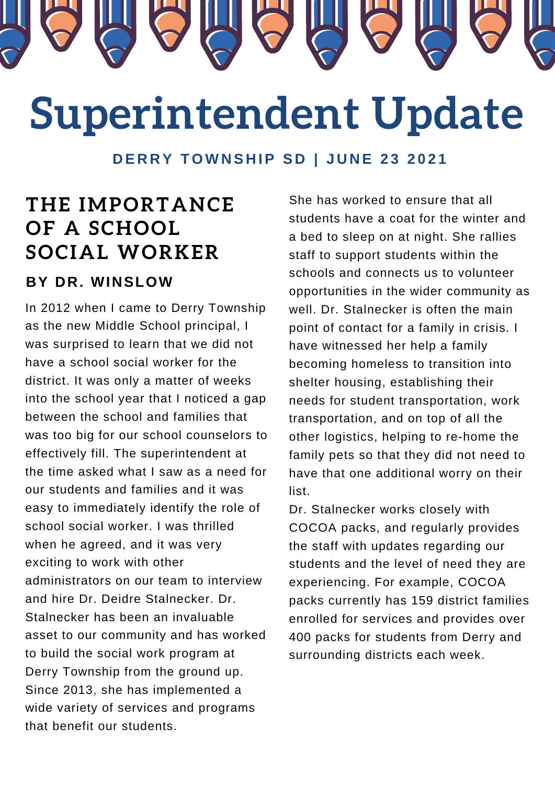

# **Superintendent Update**

DERRY TOWNSHIP SD | JUNE 23 2021

## **THE IMPORTANCE OF A SCHOOL SOCIAL WORKER**

#### **BY DR. WINSLOW**

In 2012 when I came to Derry Township as the new Middle School principal, I was surprised to learn that we did not have a school social worker for the district. It was only a matter of weeks into the school year that I noticed a gap between the school and families that was too big for our school counselors to effectively fill. The superintendent at the time asked what I saw as a need for our students and families and it was easy to immediately identify the role of school social worker. I was thrilled when he agreed, and it was very exciting to work with other administrators on our team to interview and hire Dr. Deidre Stalnecker. Dr. Stalnecker has been an invaluable asset to our community and has worked to build the social work program at Derry Township from the ground up. Since 2013, she has implemented a wide variety of services and programs that benefit our students.

She has worked to ensure that all students have a coat for the winter and a bed to sleep on at night. She rallies staff to support students within the schools and connects us to volunteer opportunities in the wider community as well. Dr. Stalnecker is often the main point of contact for a family in crisis. I have witnessed her help a family becoming homeless to transition into shelter housing, establishing their needs for student transportation, work transportation, and on top of all the other logistics, helping to re-home the family pets so that they did not need to have that one additional worry on their list.

Dr. Stalnecker works closely with COCOA packs, and regularly provides the staff with updates regarding our students and the level of need they are experiencing. For example, COCOA packs currently has 159 district families enrolled for services and provides over 400 packs for students from Derry and surrounding districts each week.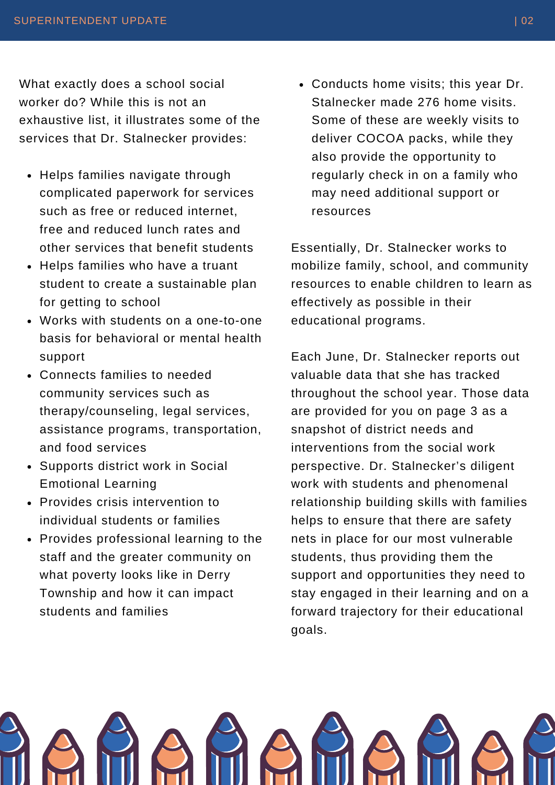What exactly does a school social worker do? While this is not an exhaustive list, it illustrates some of the services that Dr. Stalnecker provides:

- Helps families navigate through complicated paperwork for services such as free or reduced internet, free and reduced lunch rates and other services that benefit students
- Helps families who have a truant student to create a sustainable plan for getting to school
- Works with students on a one-to-one basis for behavioral or mental health support
- Connects families to needed community services such as therapy/counseling, legal services, assistance programs, transportation, and food services
- Supports district work in Social Emotional Learning
- Provides crisis intervention to individual students or families
- Provides professional learning to the staff and the greater community on what poverty looks like in Derry Township and how it can impact students and families

Conducts home visits; this year Dr. Stalnecker made 276 home visits. Some of these are weekly visits to deliver COCOA packs, while they also provide the opportunity to regularly check in on a family who may need additional support or resources

Essentially, Dr. Stalnecker works to mobilize family, school, and community resources to enable children to learn as effectively as possible in their educational programs.

Each June, Dr. Stalnecker reports out valuable data that she has tracked throughout the school year. Those data are provided for you on page 3 as a snapshot of district needs and interventions from the social work perspective. Dr. Stalnecker's diligent work with students and phenomenal relationship building skills with families helps to ensure that there are safety nets in place for our most vulnerable students, thus providing them the support and opportunities they need to stay engaged in their learning and on a forward trajectory for their educational goals.

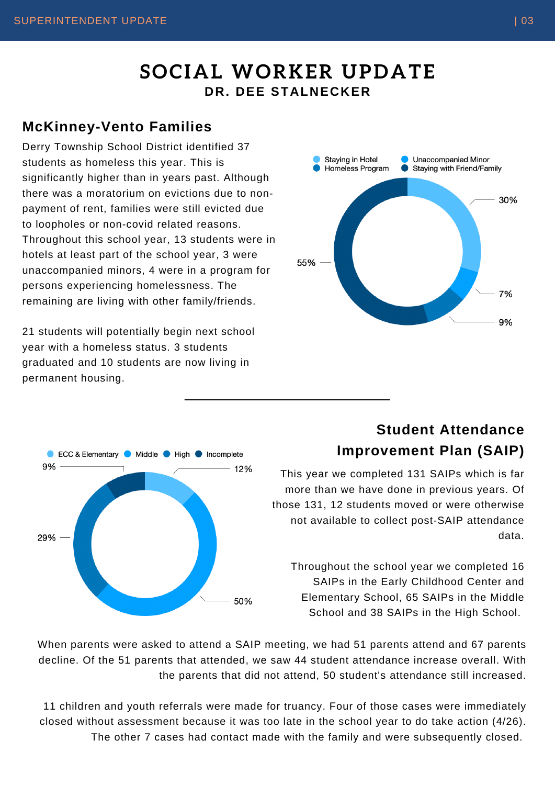## **SOCIAL WORKER UPDATE DR. DEE STALNECKER**

#### **McKinney-Vento Families**

Derry Township School District identified 37 students as homeless this year. This is significantly higher than in years past. Although there was a moratorium on evictions due to nonpayment of rent, families were still evicted due to loopholes or non-covid related reasons. Throughout this school year, 13 students were in hotels at least part of the school year, 3 were unaccompanied minors, 4 were in a program for persons experiencing homelessness. The remaining are living with other family/friends.

21 students will potentially begin next school year with a homeless status. 3 students graduated and 10 students are now living in permanent housing.





### **Student Attendance Improvement Plan (SAIP)**

This year we completed 131 SAIPs which is far more than we have done in previous years. Of those 131, 12 students moved or were otherwise not available to collect post-SAIP attendance data.

Throughout the school year we completed 16 SAIPs in the Early Childhood Center and Elementary School, 65 SAIPs in the Middle School and 38 SAIPs in the High School.

When parents were asked to attend a SAIP meeting, we had 51 parents attend and 67 parents decline. Of the 51 parents that attended, we saw 44 student attendance increase overall. With the parents that did not attend, 50 student's attendance still increased.

11 children and youth referrals were made for truancy. Four of those cases were immediately closed without assessment because it was too late in the school year to do take action (4/26). The other 7 cases had contact made with the family and were subsequently closed.